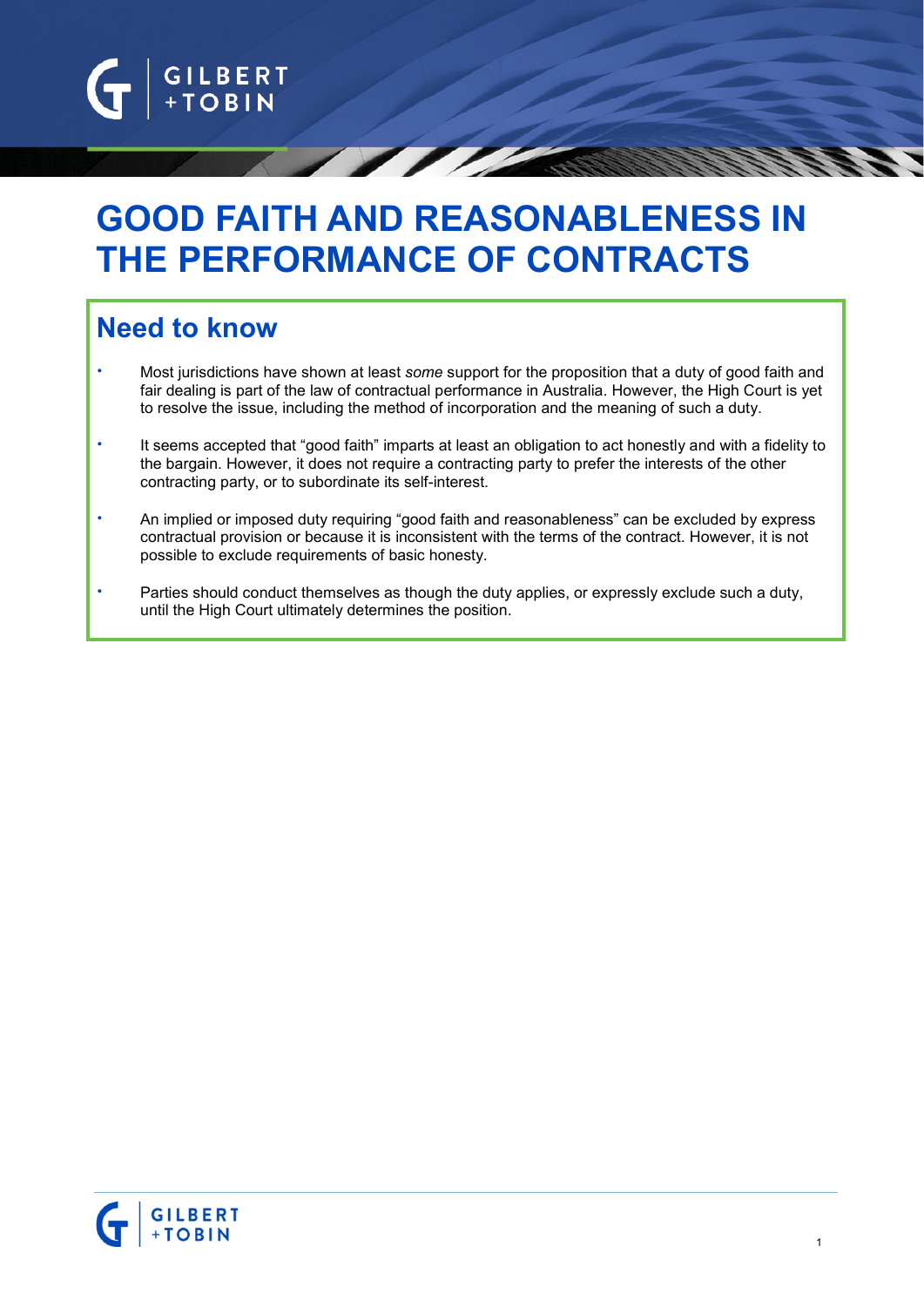

# **GOOD FAITH AND REASONABLENESS IN THE PERFORMANCE OF CONTRACTS**

# **Need to know**

- Most jurisdictions have shown at least *some* support for the proposition that a duty of good faith and fair dealing is part of the law of contractual performance in Australia. However, the High Court is yet to resolve the issue, including the method of incorporation and the meaning of such a duty.
- It seems accepted that "good faith" imparts at least an obligation to act honestly and with a fidelity to the bargain. However, it does not require a contracting party to prefer the interests of the other contracting party, or to subordinate its self-interest.
- An implied or imposed duty requiring "good faith and reasonableness" can be excluded by express contractual provision or because it is inconsistent with the terms of the contract. However, it is not possible to exclude requirements of basic honesty.
- Parties should conduct themselves as though the duty applies, or expressly exclude such a duty, until the High Court ultimately determines the position.

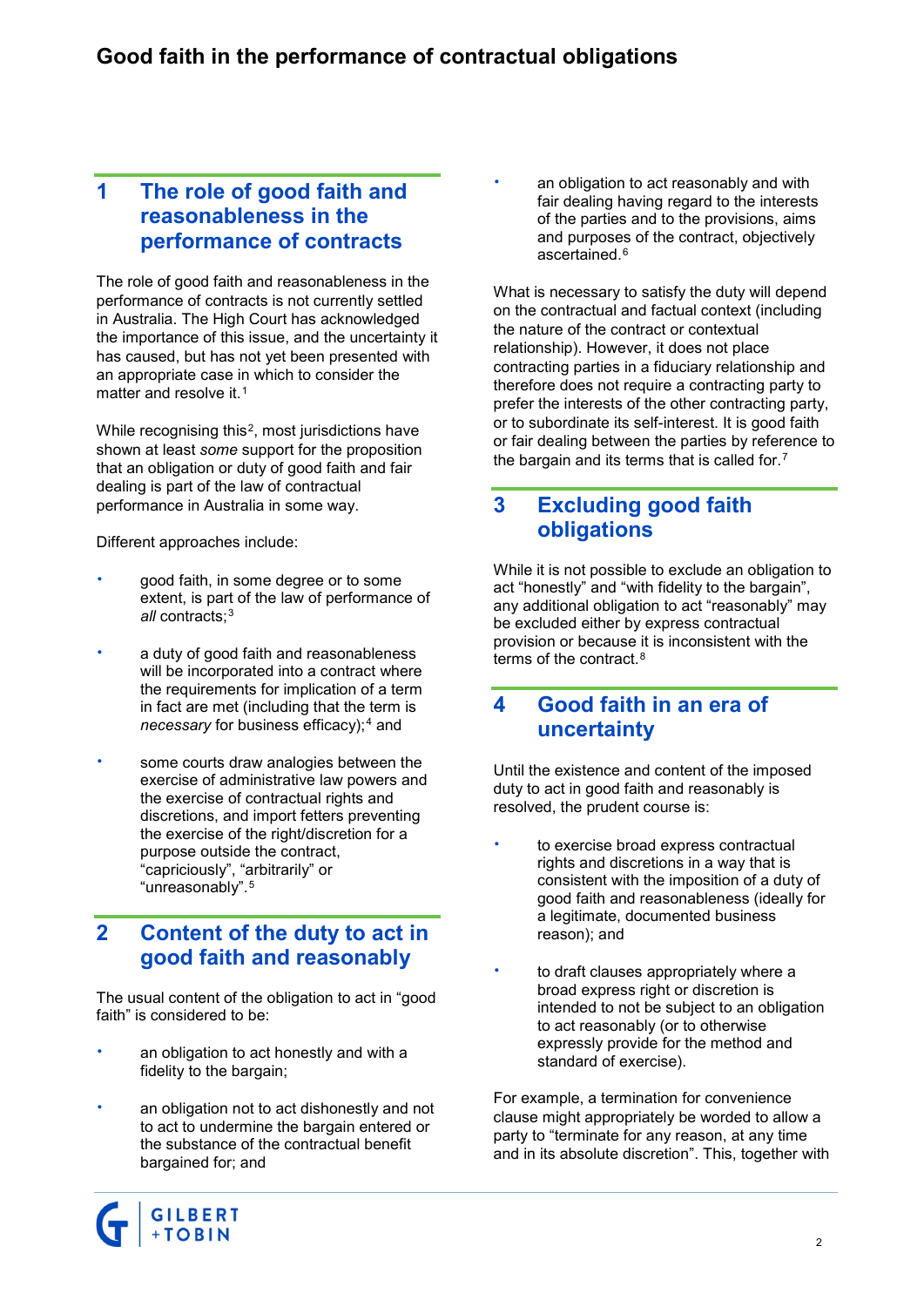#### **1 The role of good faith and reasonableness in the performance of contracts**

The role of good faith and reasonableness in the performance of contracts is not currently settled in Australia. The High Court has acknowledged the importance of this issue, and the uncertainty it has caused, but has not yet been presented with an appropriate case in which to consider the matter and resolve it.<sup>[1](#page-2-0)</sup>

While recognising this<sup>2</sup>, most jurisdictions have shown at least *some* support for the proposition that an obligation or duty of good faith and fair dealing is part of the law of contractual performance in Australia in some way.

Different approaches include:

- good faith, in some degree or to some extent, is part of the law of performance of *all* contracts;[3](#page-3-1)
- a duty of good faith and reasonableness will be incorporated into a contract where the requirements for implication of a term in fact are met (including that the term is *necessary* for business efficacy);<sup>[4](#page-3-2)</sup> and
- some courts draw analogies between the exercise of administrative law powers and the exercise of contractual rights and discretions, and import fetters preventing the exercise of the right/discretion for a purpose outside the contract, "capriciously", "arbitrarily" or "unreasonably".[5](#page-3-3)

#### **2 Content of the duty to act in good faith and reasonably**

The usual content of the obligation to act in "good faith" is considered to be:

- an obligation to act honestly and with a fidelity to the bargain;
- an obligation not to act dishonestly and not to act to undermine the bargain entered or the substance of the contractual benefit bargained for; and



What is necessary to satisfy the duty will depend on the contractual and factual context (including the nature of the contract or contextual relationship). However, it does not place contracting parties in a fiduciary relationship and therefore does not require a contracting party to prefer the interests of the other contracting party, or to subordinate its self-interest. It is good faith or fair dealing between the parties by reference to the bargain and its terms that is called for.[7](#page-3-5)

### **3 Excluding good faith obligations**

While it is not possible to exclude an obligation to act "honestly" and "with fidelity to the bargain", any additional obligation to act "reasonably" may be excluded either by express contractual provision or because it is inconsistent with the terms of the contract.[8](#page-3-6)

#### **4 Good faith in an era of uncertainty**

Until the existence and content of the imposed duty to act in good faith and reasonably is resolved, the prudent course is:

- to exercise broad express contractual rights and discretions in a way that is consistent with the imposition of a duty of good faith and reasonableness (ideally for a legitimate, documented business reason); and
- to draft clauses appropriately where a broad express right or discretion is intended to not be subject to an obligation to act reasonably (or to otherwise expressly provide for the method and standard of exercise).

For example, a termination for convenience clause might appropriately be worded to allow a party to "terminate for any reason, at any time and in its absolute discretion". This, together with

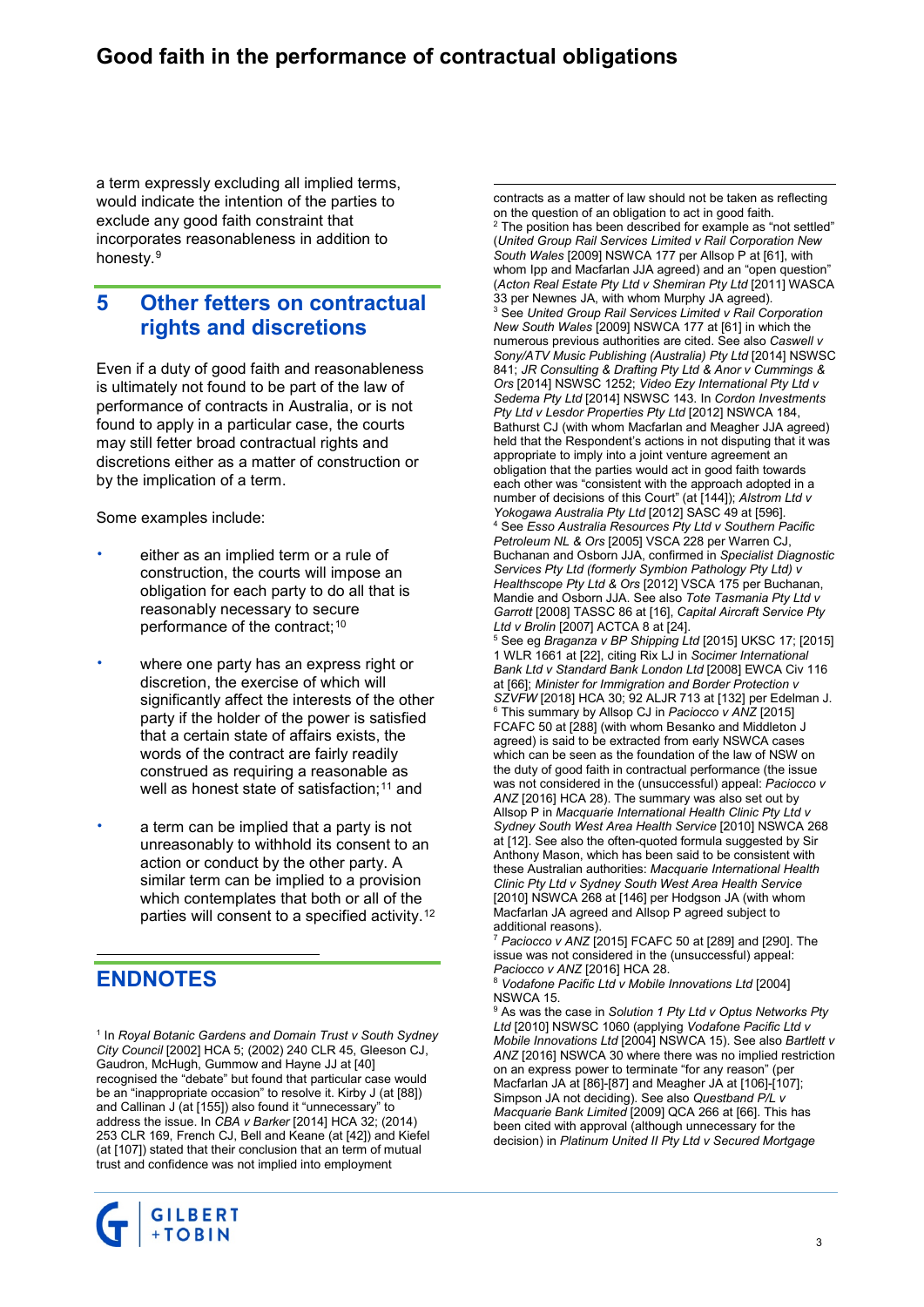# **Good faith in the performance of contractual obligations**

a term expressly excluding all implied terms, would indicate the intention of the parties to exclude any good faith constraint that incorporates reasonableness in addition to honesty.[9](#page-3-7)

#### **5 Other fetters on contractual rights and discretions**

Even if a duty of good faith and reasonableness is ultimately not found to be part of the law of performance of contracts in Australia, or is not found to apply in a particular case, the courts may still fetter broad contractual rights and discretions either as a matter of construction or by the implication of a term.

Some examples include:

- either as an implied term or a rule of construction, the courts will impose an obligation for each party to do all that is reasonably necessary to secure performance of the contract;<sup>[10](#page-3-0)</sup>
- where one party has an express right or discretion, the exercise of which will significantly affect the interests of the other party if the holder of the power is satisfied that a certain state of affairs exists, the words of the contract are fairly readily construed as requiring a reasonable as well as honest state of satisfaction;<sup>[11](#page-3-8)</sup> and
- a term can be implied that a party is not unreasonably to withhold its consent to an action or conduct by the other party. A similar term can be implied to a provision which contemplates that both or all of the parties will consent to a specified activity.[12](#page-3-1)

# <span id="page-2-0"></span>**ENDNOTES**

 $\overline{a}$ 

<sup>1</sup> In *Royal Botanic Gardens and Domain Trust v South Sydney City Council* [2002] HCA 5; (2002) 240 CLR 45, Gleeson CJ, Gaudron, McHugh, Gummow and Hayne JJ at [40] recognised the "debate" but found that particular case would be an "inappropriate occasion" to resolve it. Kirby J (at [88]) and Callinan J (at [155]) also found it "unnecessary" to address the issue. In *CBA v Barker* [2014] HCA 32; (2014) 253 CLR 169, French CJ, Bell and Keane (at [42]) and Kiefel (at [107]) stated that their conclusion that an term of mutual trust and confidence was not implied into employment



 contracts as a matter of law should not be taken as reflecting on the question of an obligation to act in good faith. The position has been described for example as "not settled" (*United Group Rail Services Limited v Rail Corporation New South Wales* [2009] NSWCA 177 per Allsop P at [61], with whom Ipp and Macfarlan JJA agreed) and an "open question" (*Acton Real Estate Pty Ltd v Shemiran Pty Ltd* [2011] WASCA <sup>3</sup> See United Group Rail Services Limited v Rail Corporation *New South Wales* [2009] NSWCA 177 at [61] in which the numerous previous authorities are cited. See also *Caswell v Sony/ATV Music Publishing (Australia) Pty Ltd* [2014] NSWSC 841; *JR Consulting & Drafting Pty Ltd & Anor v Cummings & Ors* [2014] NSWSC 1252; *Video Ezy International Pty Ltd v Sedema Pty Ltd* [2014] NSWSC 143. In *Cordon Investments Pty Ltd v Lesdor Properties Pty Ltd* [2012] NSWCA 184, Bathurst CJ (with whom Macfarlan and Meagher JJA agreed) held that the Respondent's actions in not disputing that it was appropriate to imply into a joint venture agreement an obligation that the parties would act in good faith towards each other was "consistent with the approach adopted in a number of decisions of this Court" (at [144]); *Alstrom Ltd v Yokogawa Australia Pty Ltd* [2012] SASC 49 at [596]. <sup>4</sup> See *Esso Australia Resources Pty Ltd v Southern Pacific Petroleum NL & Ors* [2005] VSCA 228 per Warren CJ, Buchanan and Osborn JJA, confirmed in *Specialist Diagnostic Services Pty Ltd (formerly Symbion Pathology Pty Ltd) v Healthscope Pty Ltd & Ors* [2012] VSCA 175 per Buchanan, Mandie and Osborn JJA. See also *Tote Tasmania Pty Ltd v Garrott* [2008] TASSC 86 at [16], *Capital Aircraft Service Pty Ltd v Brolin* [2007] ACTCA 8 at [24]. <sup>5</sup> See eg *Braganza v BP Shipping Ltd* [2015] UKSC 17; [2015] 1 WLR 1661 at [22], citing Rix LJ in *Socimer International Bank Ltd v Standard Bank London Ltd* [2008] EWCA Civ 116 at [66]; *Minister for Immigration and Border Protection v SZVFW* [2018] HCA 30; 92 ALJR 713 at [132] per Edelman J. <sup>6</sup> This summary by Allsop CJ in *Paciocco v ANZ* [2015] FCAFC 50 at [288] (with whom Besanko and Middleton J agreed) is said to be extracted from early NSWCA cases which can be seen as the foundation of the law of NSW on the duty of good faith in contractual performance (the issue was not considered in the (unsuccessful) appeal: *Paciocco v ANZ* [2016] HCA 28). The summary was also set out by Allsop P in *Macquarie International Health Clinic Pty Ltd v Sydney South West Area Health Service* [2010] NSWCA 268 at [12]. See also the often-quoted formula suggested by Sir Anthony Mason, which has been said to be consistent with these Australian authorities: *Macquarie International Health Clinic Pty Ltd v Sydney South West Area Health Service* [2010] NSWCA 268 at [146] per Hodgson JA (with whom Macfarlan JA agreed and Allsop P agreed subject to additional reasons).

<sup>7</sup> *Paciocco v ANZ* [2015] FCAFC 50 at [289] and [290]. The issue was not considered in the (unsuccessful) appeal: *Paciocco v ANZ* [2016] HCA 28.

<sup>8</sup> *Vodafone Pacific Ltd v Mobile Innovations Ltd* [2004] NSWCA 15.

<sup>9</sup> As was the case in *Solution 1 Pty Ltd v Optus Networks Pty Ltd* [2010] NSWSC 1060 (applying *Vodafone Pacific Ltd v Mobile Innovations Ltd* [2004] NSWCA 15). See also *Bartlett v ANZ* [2016] NSWCA 30 where there was no implied restriction on an express power to terminate "for any reason" (per Macfarlan JA at [86]-[87] and Meagher JA at [106]-[107]; Simpson JA not deciding). See also *Questband P/L v Macquarie Bank Limited* [2009] QCA 266 at [66]. This has been cited with approval (although unnecessary for the decision) in *Platinum United II Pty Ltd v Secured Mortgage*